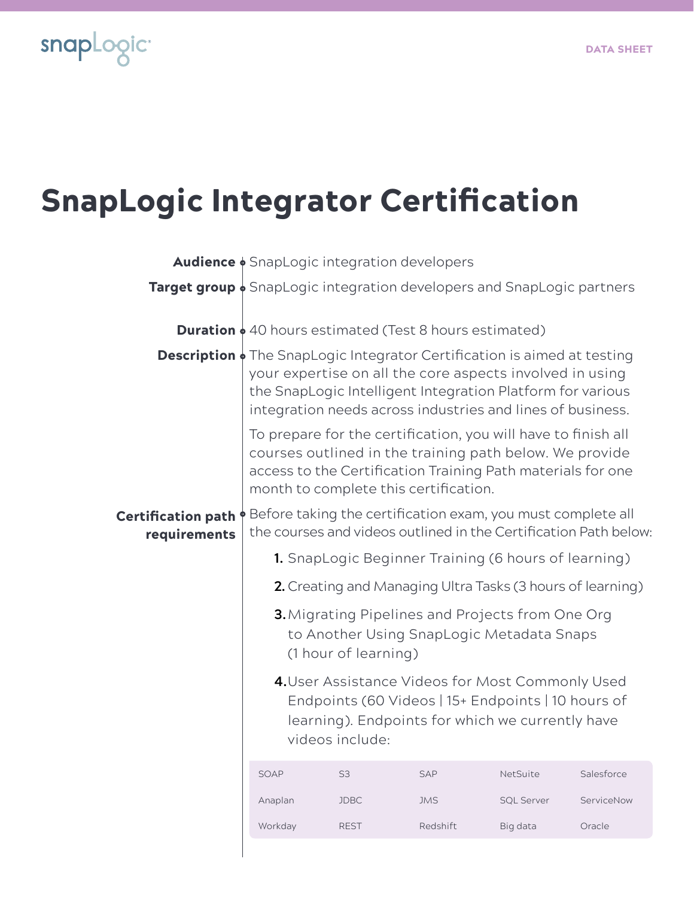

## SnapLogic Integrator Certification

|                                                                                    | <b>Audience </b> SnapLogic integration developers                                                                                                                                                                                                                            |                                                                                                                                                                               |            |                   |            |  |
|------------------------------------------------------------------------------------|------------------------------------------------------------------------------------------------------------------------------------------------------------------------------------------------------------------------------------------------------------------------------|-------------------------------------------------------------------------------------------------------------------------------------------------------------------------------|------------|-------------------|------------|--|
| <b>Target group</b> $\phi$ SnapLogic integration developers and SnapLogic partners |                                                                                                                                                                                                                                                                              |                                                                                                                                                                               |            |                   |            |  |
|                                                                                    | <b>Duration</b> $\phi$ 40 hours estimated (Test 8 hours estimated)                                                                                                                                                                                                           |                                                                                                                                                                               |            |                   |            |  |
|                                                                                    | <b>Description</b> $\phi$ The SnapLogic Integrator Certification is aimed at testing<br>your expertise on all the core aspects involved in using<br>the SnapLogic Intelligent Integration Platform for various<br>integration needs across industries and lines of business. |                                                                                                                                                                               |            |                   |            |  |
|                                                                                    | To prepare for the certification, you will have to finish all<br>courses outlined in the training path below. We provide<br>access to the Certification Training Path materials for one<br>month to complete this certification.                                             |                                                                                                                                                                               |            |                   |            |  |
| <b>Certification path</b><br>requirements                                          | ♦ Before taking the certification exam, you must complete all<br>the courses and videos outlined in the Certification Path below:                                                                                                                                            |                                                                                                                                                                               |            |                   |            |  |
|                                                                                    |                                                                                                                                                                                                                                                                              | 1. SnapLogic Beginner Training (6 hours of learning)                                                                                                                          |            |                   |            |  |
|                                                                                    |                                                                                                                                                                                                                                                                              | 2. Creating and Managing Ultra Tasks (3 hours of learning)                                                                                                                    |            |                   |            |  |
|                                                                                    |                                                                                                                                                                                                                                                                              | <b>3.</b> Migrating Pipelines and Projects from One Org<br>to Another Using SnapLogic Metadata Snaps<br>(1 hour of learning)                                                  |            |                   |            |  |
|                                                                                    |                                                                                                                                                                                                                                                                              | 4. User Assistance Videos for Most Commonly Used<br>Endpoints (60 Videos   15+ Endpoints   10 hours of<br>learning). Endpoints for which we currently have<br>videos include: |            |                   |            |  |
|                                                                                    | SOAP                                                                                                                                                                                                                                                                         | S <sub>3</sub>                                                                                                                                                                | SAP        | NetSuite          | Salesforce |  |
|                                                                                    | Anaplan                                                                                                                                                                                                                                                                      | <b>JDBC</b>                                                                                                                                                                   | <b>JMS</b> | <b>SQL Server</b> | ServiceNow |  |
|                                                                                    | Workday                                                                                                                                                                                                                                                                      | <b>REST</b>                                                                                                                                                                   | Redshift   | Big data          | Oracle     |  |